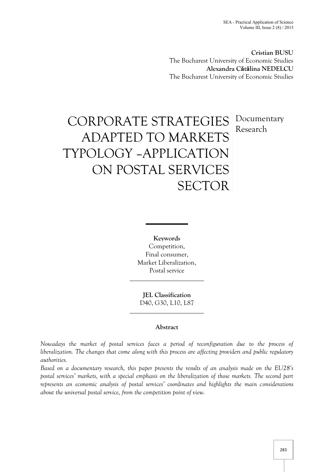**Cristian BUSU** The Bucharest University of Economic Studies **Alexandra Cătălina NEDELCU** The Bucharest University of Economic Studies

# CORPORATE STRATEGIES ADAPTED TO MARKETS TYPOLOGY –APPLICATION ON POSTAL SERVICES **SECTOR** Documentary Research

**Keywords** Competition, Final consumer, Market Liberalization, Postal service

**JEL Classification** D40, G30, L10, L87

# **Abstract**

*Nowadays the market of postal services faces a period of reconfiguration due to the process of liberalization. The changes that come along with this process are affecting providers and public regulatory authorities.*

*Based on a documentary research, this paper presents the results of an analysis made on the EU28's postal services' markets, with a special emphasis on the liberalization of those markets. The second part represents an economic analysis of postal services' coordinates and highlights the main considerations about the universal postal service, from the competition point of view.*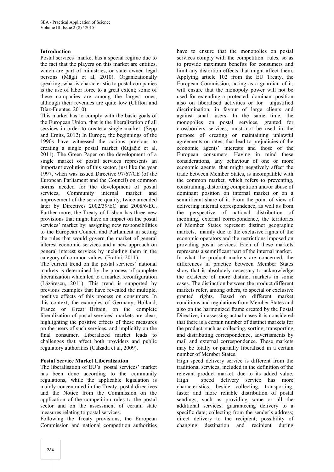#### **Introduction**

Postal services' market has a special regime due to the fact that the players on this market are entities, which are part of ministries, or state owned legal persons (Mägli et al, 2010). Organizationally speaking, what is characteristic to postal companies is the use of labor force to a great extent; some of these companies are among the largest ones, although their revenues are quite low (Clifton and Díaz-Fuentes, 2010).

This market has to comply with the basic goals of the European Union, that is the liberalization of all services in order to create a single market. (Sepp and Ernits, 2012) In Europe, the beginnings of the 1990s have witnessed the actions previous to creating a single postal market (Kujačić et al, 2011). The Green Paper on the development of a single market of postal services represents an important evolution of this sector, just like the year 1997, when was issued Directive 97/67/CE (of the European Parliament and the Council) on common norms needed for the development of postal services, Community internal market and improvement of the service quality, twice amended later by Directives 2002/39/EC and 2008/6/EC. Further more, the Treaty of Lisbon has three new provisions that might have an impact on the postal services' market by: assigning new responsibilities to the European Council and Parliament in setting the rules that would govern the market of general interest economic services and a new approach on general interest services by including them in the category of common values (Fratini, 2011).

The current trend on the postal services' national markets is determined by the process of complete liberalization which led to a market reconfiguration (Lăzărescu, 2011). This trend is supported by previous examples that have revealed the multiple, positive effects of this process on consumers. In this context, the examples of Germany, Holland, France or Great Britain, on the complete liberalization of postal services' markets are clear, highlighting the positive effects of these measures on the users of such services, and implicitly on the final consumer. Liberalized market leads to challenges that affect both providers and public regulatory authorities (Calzada et al, 2009).

#### **Postal Service Market Liberalisation**

The liberalisation of EU's postal services' market has been done according to the community regulations, while the applicable legislation is mainly concentrated in the Treaty, postal directives and the Notice from the Commission on the application of the competition rules to the postal sector and on the assessment of certain state measures relating to postal services.

Following the Treaty provisions, the European Commission and national competition authorities

have to ensure that the monopolies on postal services comply with the competition rules, so as to provide maximum benefits for consumers and limit any distortion effects that might affect them. Applying article 102 from the EU Treaty, the European Commission, acting as a guardian of it, will ensure that the monopoly power will not be used for extending a protected, dominant position also on liberalised activities or for unjustified discrimination, in favour of large clients and against small users. In the same time, the monopolies on postal services, granted for crossborders services, must not be used in the purpose of creating or maintaining unlawful agreements on rates, that lead to prejudicies of the economic agents' interests and those of the European consumers. Having in mind these considerations, any behaviour of one or more economic agents, that might negatively affect the trade between Member States, is incompatible with the common market, which refers to preventing, constraining, distorting competition and/or abuse of dominant position on internal market or on a semnificant share of it. From the point of view of delivering internal correspondence, as well as from the perspective of national distribution of incoming, external correspondence, the territories of Member States represent distinct geographic markets, mainly due to the exclusive rights of the economic operators and the restrictions imposed on providing postal services. Each of these markets represents a semnificant part of the internal market. In what the product markets are concerned, the differences in practice between Member States show that is absolutely necessary to acknowledge the existence of more distinct markets in some cases. The distinction between the product different markets refer, among others, to special or exclusive granted rights. Based on different market conditions and regulations from Member States and also on the harmonized frame created by the Postal Directive, in assessing actual cases it is considered that there is a certain number of distinct markets for the product, such as collecting, sorting, transporting and distributing correspondence, advertisments by mail and external correspondence. These markets may be totally or partially liberalised in a certain number of Member States.

High speed delivery service is different from the traditional services, included in the definition of the relevant product market, due to its added value. High speed delivery service has more characteristics, beside collecting, transporting, faster and more reliable distribution of postal sendings, such as providing some or all the additional services: guaranteeing delivery to a specific date; collecting from the sender's address; direct delivery to the recipient; possibility of changing destination and recipient during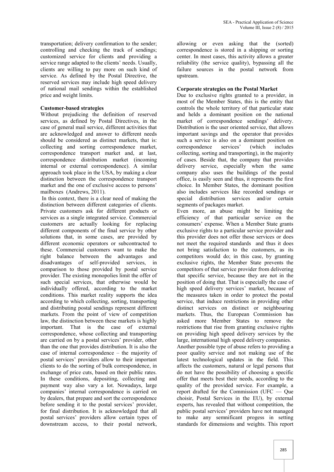transportation; delivery confirmation to the sender; controlling and checking the track of sendings; customized service for clients and providing a service range adapted to the clients' needs. Usually, clients are willing to pay more on such kind of service. As defined by the Postal Directive, the reserved services may include high speed delivery of national mail sendings within the established price and weight limits.

## **Customer-based strategies**

Without prejudicing the definition of reserved services, as defined by Postal Directives, in the case of general mail service, different activities that are acknowledged and answer to different needs should be considered as distinct markets, that is: collecting and sorting correspondence market, correspondence transport market and, at last, correspondence distribution market (incoming internal or external correspondence). A similar approach took place in the USA, by making a clear distinction between the correspondence transport market and the one of exclusive access to persons' mailboxes (Andrews, 2011).

In this context, there is a clear need of making the distinction between different categories of clients. Private customers ask for different products or services as a single integrated service. Commercial customers are actually looking for replacing different components of the final service by other solutions that, in some cases, are provided by different economic operators or subcontracted to these. Commercial customers want to make the right balance between the advantages and disadvantages of self-provided services, in comparison to those provided by postal service provider. The existing monopolies limit the offer of such special services, that otherwise would be individually offered, according to the market conditions. This market reality supports the idea according to which collecting, sorting, transporting and distributing postal sendings represent different markets. From the point of view of competition law, the distinction between these markets is highly important. That is the case of external correspondence, whose collecting and transporting are carried on by a postal services' provider, other than the one that provides distribution. It is also the case of internal correspondence – the majority of postal services' providers allow to their important clients to do the sorting of bulk correspondence, in exchange of price cuts, based on their public rates. In these conditions, depositing, collecting and payment way also vary a lot. Nowadays, large companies' internal correspondence is carried on by dealers, that prepare and sort the correspondence before sending it to the postal services' provider, for final distribution. It is acknowledged that all postal services' providers allow certain types of downstream access, to their postal network,

allowing or even asking that the (sorted) correspondence is stored in a shipping or sorting center. In most cases, this activity allows a greater reliability (the service quality), bypassing all the failure sources in the postal network from upstream.

## **Corporate strategies on the Postal Market**

Due to exclusive rights granted to a provider, in most of the Member States, this is the entity that controls the whole territory of that particular state and helds a dominant position on the national market of correspondence sendings' delivery. Distribution is the user oriented service, that allows important savings and the operator that provides such a service is also on a dominant position on correspondence services' (which includes collecting, sorting and transporting), in the majority of cases. Beside that, the company that provides delivery service, especially when the same company also uses the buildings of the postal office, is easily seen and thus, it represents the first choice. In Member States, the dominant position also includes services like recorded sendings or special distribution services and/or certain segments of packages market.

Even more, an abuse might be limiting the efficiency of that particular service on the consumers' expense. When a Member State grants exclusive rights to a particular service provider and this provider does not offer those services or does not meet the required standards and thus it does not bring satisfaction to the customers, as its competitors would do; in this case, by granting exclusive rights, the Member State prevents the competitors of that service provider from delivering that specific service, because they are not in the position of doing that. That is especially the case of high speed delivery services' market, because of the measures taken in order to protect the postal service, that induce restrictions in providing other distinct services on distinct or neighbouring markets. Thus, the European Commission has asked more Member States to remove the restrictions that rise from granting exclusive rights on providing high speed delivery services by the large, international high speed delivery companies. Another possible type of abuse refers to providing a

poor quality service and not making use of the latest technological updates in the field. This affects the customers, natural or legal persons that do not have the possibility of choosing a specific offer that meets best their needs, according to the quality of the provided service. For example, a report drafted for the Commission (UFC — Que choisir, Postal Services in the EU), by external experts, has revealed that without competition, the public postal services' providers have not managed to make any semnificant progess in setting standards for dimensions and weights. This report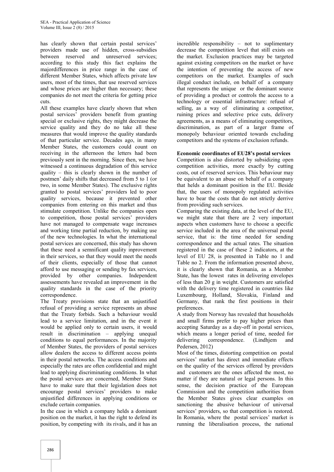has clearly shown that certain postal services' providers made use of hidden, cross-subsidies between reserved and unreserved services; according to this study this fact explains the majordifferences in price range in the case of different Member States, which affects private law users, most of the times, that use reserved services and whose prices are higher than necessary; these companies do not meet the criteria for getting price cuts.

All these examples have clearly shown that when postal services' providers benefit from granting special or exclusive rights, they might decrease the service quality and they do no take all these measures that would improve the quality standards of that particular service. Decades ago, in many Member States, the customers could count on receiving in the afternoon the letters had been previously sent in the morning. Since then, we have witnessed a continuous degradation of this service quality – this is clearly shown in the number of postmen' daily shifts that decreased from 5 to 1 (or two, in some Member States). The exclusive rights granted to postal services' providers led to poor quality services, because it prevented other companies from entering on this market and thus stimulate competition. Unlike the companies open to competition, those postal services' providers have not managed to compensate wage increases and working time partial reduction, by making use of the new technologies. In what the international postal services are concerned, this study has shown that these need a semnificant quality inprovement in their services, so that they would meet the needs of their clients, especially of those that cannot afford to use messaging or sending by fax services, provided by other companies. Independent assessements have revealed an improvement in the quality standards in the case of the priority correspondence.

The Treaty provisions state that an unjustified refusal of providing a service represents an abuse that the Treaty forbids. Such a behaviour would lead to a service limitation, and in the event it would be applied only to certain users, it would result in discrimination – applying unequal conditions to equal performances. In the majority of Member States, the providers of postal services allow dealers the access to different access points in their postal networks. The access conditions and especially the rates are often confidential and might lead to applying discriminating conditions. In what the postal services are concerned, Member States have to make sure that their legislation does not encourage postal services' providers to make unjustified differences in applying conditions or exclude certain companies.

In the case in which a company helds a dominant position on the market, it has the right to defend its position, by competing with its rivals, and it has an

incredible responsibility – not to suplimentary decrease the competition level that still exists on the market. Exclusion practices may be targeted against existing competitors on the market or have the intention of preventing the access of new competitors on the market. Examples of such illegal conduct include, on behalf of a company that represents the unique or the dominant source of providing a product or controls the access to a technology or essential infrastructure: refusal of selling, as a way of eliminating a competitor, ruining prices and selective price cuts, delivery agreements, as a means of eliminating competitors, discrimination, as part of a larger frame of monopoly behaviour oriented towards excluding competitors and the systems of exclusion refunds.

#### **Economic coordinates of EU28's postal services**

Competition is also distorted by subsidizing open competition activities, more exactly by cutting costs, out of reserved services. This behaviour may be equivalent to an abuse on behalf of a company that helds a dominant position in the EU. Beside that, the users of monopoly regulated activities have to bear the costs that do not strictly derrive from providing such services.

Comparing the existing data, at the level of the EU, we might state that there are 2 very important aspects when customers have to choose a specific service included in the area of the universal postal service, that is: the time needed for sending correspondence and the actual rates. The situation registered in the case of these 2 indicators, at the level of EU 28, is presented in Table no 1 and Table no 2. From the information presented above, it is clearly shown that Romania, as a Member State, has the lowest rates in delivering envelopes of less than 20 g in weight. Customers are satisfied with the delivery time registered in countries like Luxembourg, Holland, Slovakia, Finland and Germany, that rank the first positions in their preferences.

A study from Norway has revealed that households and small firms prefer to pay higher prices than accepting Saturday as a day-off in postal services, which means a longer period of time, needed for correspondence. (Lindhjem and Pedersen, 2012)

Most of the times, distorting competition on postal services' market has direct and immediate effects on the quality of the services offered by providers and customers are the ones affected the most, no matter if they are natural or legal persons. In this sense, the decision practice of the European Commission and the competition authorities from the Member States gives clear examples on sanctioning the abusive behaviour of universal services' providers, so that competition is restored. In Romania, where the postal services' market is running the liberalisation process, the national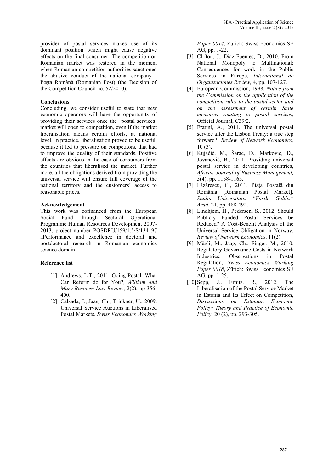provider of postal services makes use of its dominant position which might cause negative effects on the final consumer. The competition on Romanian market was restored in the moment when Romanian competition authorities sanctioned the abusive conduct of the national company - Poșta Română (Romanian Post) (the Decision of the Competition Council no. 52/2010).

#### **Conclusions**

Concluding, we consider useful to state that new economic operators will have the opportunity of providing their services once the postal services' market will open to competition, even if the market liberalisation means certain efforts, at national level. In practice, liberalisation proved to be useful, because it led to pressure on competitors, that had to improve the quality of their standards. Positive effects are obvious in the case of consumers from the countries that liberalised the market. Further more, all the obligations derived from providing the universal service will ensure full coverage of the national territory and the customers' access to reasonable prices.

#### **Acknowledgement**

This work was cofinanced from the European Social Fund through Sectoral Operational Programme Human Resources Development 2007- 2013, project number POSDRU/159/1.5/S/134197 "Performance and excellence in doctoral and postdoctoral research in Romanian economics science domain".

#### **Reference list**

- [1] Andrews, L.T., 2011. Going Postal: What Can Reform do for You?, *William and Mary Business Law Review*, 2(2), pp 356- 400.
- [2] Calzada, J., Jaag, Ch., Trinkner, U., 2009. Universal Service Auctions in Liberalised Postal Markets, *Swiss Economics Working*

*Paper 0014*, Zürich: Swiss Economics SE AG, pp. 1-22.

- [3] Clifton, J., Díaz-Fuentes, D., 2010. From National Monopoly to Multinational: Consequences for work in the Public Services in Europe, *International de Organizaciones Review,* 4, pp. 107-127.
- [4] European Commission, 1998. *Notice from the Commission on the application of the competition rules to the postal sector and on the assessment of certain State measures relating to postal services*, Official Journal, C39/2.
- [5] Fratini, A., 2011. The universal postal service after the Lisbon Treaty: a true step forward?, *Review of Network Economics,* 10 (3).
- [6] Kujačić, M., Šarac, D., Marković, D., Jovanović, B., 2011. Providing universal postal service in developing countries, *African Journal of Business Management,* 5(4), pp. 1158-1165.
- [7] Lăzărescu, C., 2011. Piaţa Postală din România [Romanian Postal Market],<br>Studia Universitatis "Vasile Goldis" *Studia Universitatis Arad*, 21, pp. 488-492.
- [8] Lindhjem, H., Pedersen, S., 2012. Should Publicly Funded Postal Services be Reduced? A Cost-Benefit Analysis of the Universal Service Obligation in Norway, *Review of Network Economics*, 11(2).
- [9] Mägli, M., Jaag, Ch., Finger, M., 2010. Regulatory Governance Costs in Network Industries: Observations in Postal Regulation, *Swiss Economics Working Paper 0018*, Zürich: Swiss Economics SE AG, pp. 1-25.
- [10]Sepp, J., Ernits, R., 2012. The Liberalisation of the Postal Service Market in Estonia and Its Effect on Competition, *Discussions on Estonian Economic Policy: Theory and Practice of Economic Policy*, 20 (2), pp. 293-305.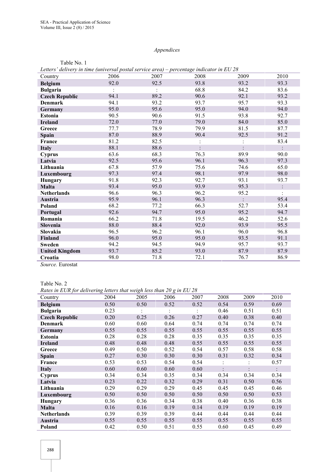# *Appendices*

| Beners achivery in unic funiversal postal service all cap |      |      | $P1$ contage material in $B0$ |      |      |
|-----------------------------------------------------------|------|------|-------------------------------|------|------|
| Country                                                   | 2006 | 2007 | 2008                          | 2009 | 2010 |
| <b>Belgium</b>                                            | 92.0 | 92.5 | 93.8                          | 93.2 | 93.3 |
| <b>Bulgaria</b>                                           |      |      | 68.8                          | 84.2 | 83.6 |
| <b>Czech Republic</b>                                     | 94.1 | 89.2 | 90.6                          | 92.1 | 93.2 |
| Denmark                                                   | 94.1 | 93.2 | 93.7                          | 95.7 | 93.3 |
| Germany                                                   | 95.0 | 95.6 | 95.0                          | 94.0 | 94.0 |
| <b>Estonia</b>                                            | 90.5 | 90.6 | 91.5                          | 93.8 | 92.7 |
| <b>Ireland</b>                                            | 72.0 | 77.0 | 79.0                          | 84.0 | 85.0 |
| Greece                                                    | 77.7 | 78.9 | 79.9                          | 81.5 | 87.7 |
| Spain                                                     | 87.0 | 88.9 | 90.4                          | 92.5 | 91.2 |
| France                                                    | 81.2 | 82.5 |                               |      | 83.4 |
| <b>Italy</b>                                              | 88.1 | 88.6 |                               |      |      |
| Cyprus                                                    | 63.6 | 68.3 | 76.3                          | 89.9 | 90.0 |
| Latvia                                                    | 92.5 | 95.6 | 96.1                          | 96.3 | 97.3 |
| Lithuania                                                 | 67.8 | 57.9 | 75.6                          | 74.6 | 65.0 |
| Luxembourg                                                | 97.3 | 97.4 | 98.1                          | 97.9 | 98.0 |
| Hungary                                                   | 91.8 | 92.3 | 92.7                          | 93.1 | 93.7 |
| <b>Malta</b>                                              | 93.4 | 95.0 | 93.9                          | 95.3 |      |
| <b>Netherlands</b>                                        | 96.6 | 96.3 | 96.2                          | 95.2 |      |
| Austria                                                   | 95.9 | 96.1 | 96.3                          |      | 95.4 |
| Poland                                                    | 68.2 | 77.2 | 66.3                          | 52.7 | 53.4 |
| Portugal                                                  | 92.6 | 94.7 | 95.0                          | 95.2 | 94.7 |
| Romania                                                   | 66.2 | 71.8 | 19.5                          | 46.2 | 52.6 |
| Slovenia                                                  | 88.0 | 88.4 | 92.0                          | 93.9 | 95.5 |
| Slovakia                                                  | 96.5 | 96.2 | 96.1                          | 96.0 | 96.8 |
| Finland                                                   | 96.0 | 95.0 | 95.0                          | 93.5 | 91.1 |
| <b>Sweden</b>                                             | 94.2 | 94.5 | 94.9                          | 95.7 | 93.7 |
| <b>United Kingdom</b>                                     | 93.7 | 85.2 | 93.0                          | 87.9 | 87.9 |
| Croatia                                                   | 98.0 | 71.8 | 72.1                          | 76.7 | 86.9 |

Table No. 1 *Letters' delivery in time (universal postal service area) – percentage indicator in EU 28*

*Source.* Eurostat

| Table No. 2 |  |
|-------------|--|
|-------------|--|

*Rates in EUR for delivering letters that weigh less than 20 g in EU 28*

| 2005<br>2006<br>2009<br>2010<br>2004<br>2007<br>2008<br>Country<br>0.50<br>0.50<br>0.52<br>0.52<br>0.54<br>0.59<br>0.69<br><b>Belgium</b><br><b>Bulgaria</b><br>0.23<br>0.46<br>0.51<br>0.51<br>0.40<br>0.38<br>0.40<br>0.20<br>0.25<br>0.26<br>0.27<br>0.74<br>0.60<br>0.60<br>0.64<br>0.74<br>0.74<br>0.74<br><b>Denmark</b><br>0.55<br>0.55<br>0.55<br>0.55<br>0.55<br>0.55<br>0.55<br><b>Germany</b><br>0.28<br>0.28<br>0.28<br>0.35<br>0.35<br>0.35<br>0.35<br>Estonia<br>0.48<br>0.48<br>0.48<br>0.55<br>0.55<br>0.55<br>0.55<br><b>Ireland</b><br>0.58<br>0.49<br>0.52<br>0.54<br>0.57<br>0.58<br>0.50<br>Greece<br>0.27<br>0.30<br>0.30<br>0.34<br>0.30<br>0.31<br>0.32<br><b>Spain</b><br>0.53<br>0.54<br>0.54<br>0.57<br>0.53<br>France<br>0.60<br>0.60<br>0.60<br>0.60<br><b>Italy</b><br>0.34<br>0.35<br>0.34<br>0.34<br>0.34<br>0.34<br>0.34<br><b>Cyprus</b><br>0.23<br>0.22<br>0.32<br>0.29<br>0.31<br>0.50<br>0.56<br>Latvia<br>0.29<br>0.29<br>0.29<br>0.45<br>0.45<br>0.46<br>Lithuania<br>0.45<br>0.50<br>0.50<br>0.50<br>0.50<br>0.50<br>0.50<br>0.53<br>Luxembourg<br>0.36<br>0.36<br>0.34<br>0.38<br>0.40<br>0.36<br>0.38<br>Hungary<br>0.16<br>0.14<br>0.19<br>0.19<br>0.19<br>Malta<br>0.16<br>0.19<br>0.44<br>0.44<br>0.39<br>0.39<br>0.39<br>0.44<br>0.44<br><b>Netherlands</b><br>0.55<br>0.55<br>0.55<br>0.55<br>0.55<br>0.55<br>0.55<br>Austria | Rans in DOR for activering teners that weightess than 20 g in DO 20 |      |      |      |      |      |      |      |
|------------------------------------------------------------------------------------------------------------------------------------------------------------------------------------------------------------------------------------------------------------------------------------------------------------------------------------------------------------------------------------------------------------------------------------------------------------------------------------------------------------------------------------------------------------------------------------------------------------------------------------------------------------------------------------------------------------------------------------------------------------------------------------------------------------------------------------------------------------------------------------------------------------------------------------------------------------------------------------------------------------------------------------------------------------------------------------------------------------------------------------------------------------------------------------------------------------------------------------------------------------------------------------------------------------------------------------------------------------------------------|---------------------------------------------------------------------|------|------|------|------|------|------|------|
|                                                                                                                                                                                                                                                                                                                                                                                                                                                                                                                                                                                                                                                                                                                                                                                                                                                                                                                                                                                                                                                                                                                                                                                                                                                                                                                                                                              |                                                                     |      |      |      |      |      |      |      |
|                                                                                                                                                                                                                                                                                                                                                                                                                                                                                                                                                                                                                                                                                                                                                                                                                                                                                                                                                                                                                                                                                                                                                                                                                                                                                                                                                                              |                                                                     |      |      |      |      |      |      |      |
|                                                                                                                                                                                                                                                                                                                                                                                                                                                                                                                                                                                                                                                                                                                                                                                                                                                                                                                                                                                                                                                                                                                                                                                                                                                                                                                                                                              |                                                                     |      |      |      |      |      |      |      |
|                                                                                                                                                                                                                                                                                                                                                                                                                                                                                                                                                                                                                                                                                                                                                                                                                                                                                                                                                                                                                                                                                                                                                                                                                                                                                                                                                                              | <b>Czech Republic</b>                                               |      |      |      |      |      |      |      |
|                                                                                                                                                                                                                                                                                                                                                                                                                                                                                                                                                                                                                                                                                                                                                                                                                                                                                                                                                                                                                                                                                                                                                                                                                                                                                                                                                                              |                                                                     |      |      |      |      |      |      |      |
|                                                                                                                                                                                                                                                                                                                                                                                                                                                                                                                                                                                                                                                                                                                                                                                                                                                                                                                                                                                                                                                                                                                                                                                                                                                                                                                                                                              |                                                                     |      |      |      |      |      |      |      |
|                                                                                                                                                                                                                                                                                                                                                                                                                                                                                                                                                                                                                                                                                                                                                                                                                                                                                                                                                                                                                                                                                                                                                                                                                                                                                                                                                                              |                                                                     |      |      |      |      |      |      |      |
|                                                                                                                                                                                                                                                                                                                                                                                                                                                                                                                                                                                                                                                                                                                                                                                                                                                                                                                                                                                                                                                                                                                                                                                                                                                                                                                                                                              |                                                                     |      |      |      |      |      |      |      |
|                                                                                                                                                                                                                                                                                                                                                                                                                                                                                                                                                                                                                                                                                                                                                                                                                                                                                                                                                                                                                                                                                                                                                                                                                                                                                                                                                                              |                                                                     |      |      |      |      |      |      |      |
|                                                                                                                                                                                                                                                                                                                                                                                                                                                                                                                                                                                                                                                                                                                                                                                                                                                                                                                                                                                                                                                                                                                                                                                                                                                                                                                                                                              |                                                                     |      |      |      |      |      |      |      |
|                                                                                                                                                                                                                                                                                                                                                                                                                                                                                                                                                                                                                                                                                                                                                                                                                                                                                                                                                                                                                                                                                                                                                                                                                                                                                                                                                                              |                                                                     |      |      |      |      |      |      |      |
|                                                                                                                                                                                                                                                                                                                                                                                                                                                                                                                                                                                                                                                                                                                                                                                                                                                                                                                                                                                                                                                                                                                                                                                                                                                                                                                                                                              |                                                                     |      |      |      |      |      |      |      |
|                                                                                                                                                                                                                                                                                                                                                                                                                                                                                                                                                                                                                                                                                                                                                                                                                                                                                                                                                                                                                                                                                                                                                                                                                                                                                                                                                                              |                                                                     |      |      |      |      |      |      |      |
|                                                                                                                                                                                                                                                                                                                                                                                                                                                                                                                                                                                                                                                                                                                                                                                                                                                                                                                                                                                                                                                                                                                                                                                                                                                                                                                                                                              |                                                                     |      |      |      |      |      |      |      |
|                                                                                                                                                                                                                                                                                                                                                                                                                                                                                                                                                                                                                                                                                                                                                                                                                                                                                                                                                                                                                                                                                                                                                                                                                                                                                                                                                                              |                                                                     |      |      |      |      |      |      |      |
|                                                                                                                                                                                                                                                                                                                                                                                                                                                                                                                                                                                                                                                                                                                                                                                                                                                                                                                                                                                                                                                                                                                                                                                                                                                                                                                                                                              |                                                                     |      |      |      |      |      |      |      |
|                                                                                                                                                                                                                                                                                                                                                                                                                                                                                                                                                                                                                                                                                                                                                                                                                                                                                                                                                                                                                                                                                                                                                                                                                                                                                                                                                                              |                                                                     |      |      |      |      |      |      |      |
|                                                                                                                                                                                                                                                                                                                                                                                                                                                                                                                                                                                                                                                                                                                                                                                                                                                                                                                                                                                                                                                                                                                                                                                                                                                                                                                                                                              |                                                                     |      |      |      |      |      |      |      |
|                                                                                                                                                                                                                                                                                                                                                                                                                                                                                                                                                                                                                                                                                                                                                                                                                                                                                                                                                                                                                                                                                                                                                                                                                                                                                                                                                                              |                                                                     |      |      |      |      |      |      |      |
|                                                                                                                                                                                                                                                                                                                                                                                                                                                                                                                                                                                                                                                                                                                                                                                                                                                                                                                                                                                                                                                                                                                                                                                                                                                                                                                                                                              |                                                                     |      |      |      |      |      |      |      |
|                                                                                                                                                                                                                                                                                                                                                                                                                                                                                                                                                                                                                                                                                                                                                                                                                                                                                                                                                                                                                                                                                                                                                                                                                                                                                                                                                                              | Poland                                                              | 0.42 | 0.50 | 0.51 | 0.55 | 0.60 | 0.45 | 0.49 |